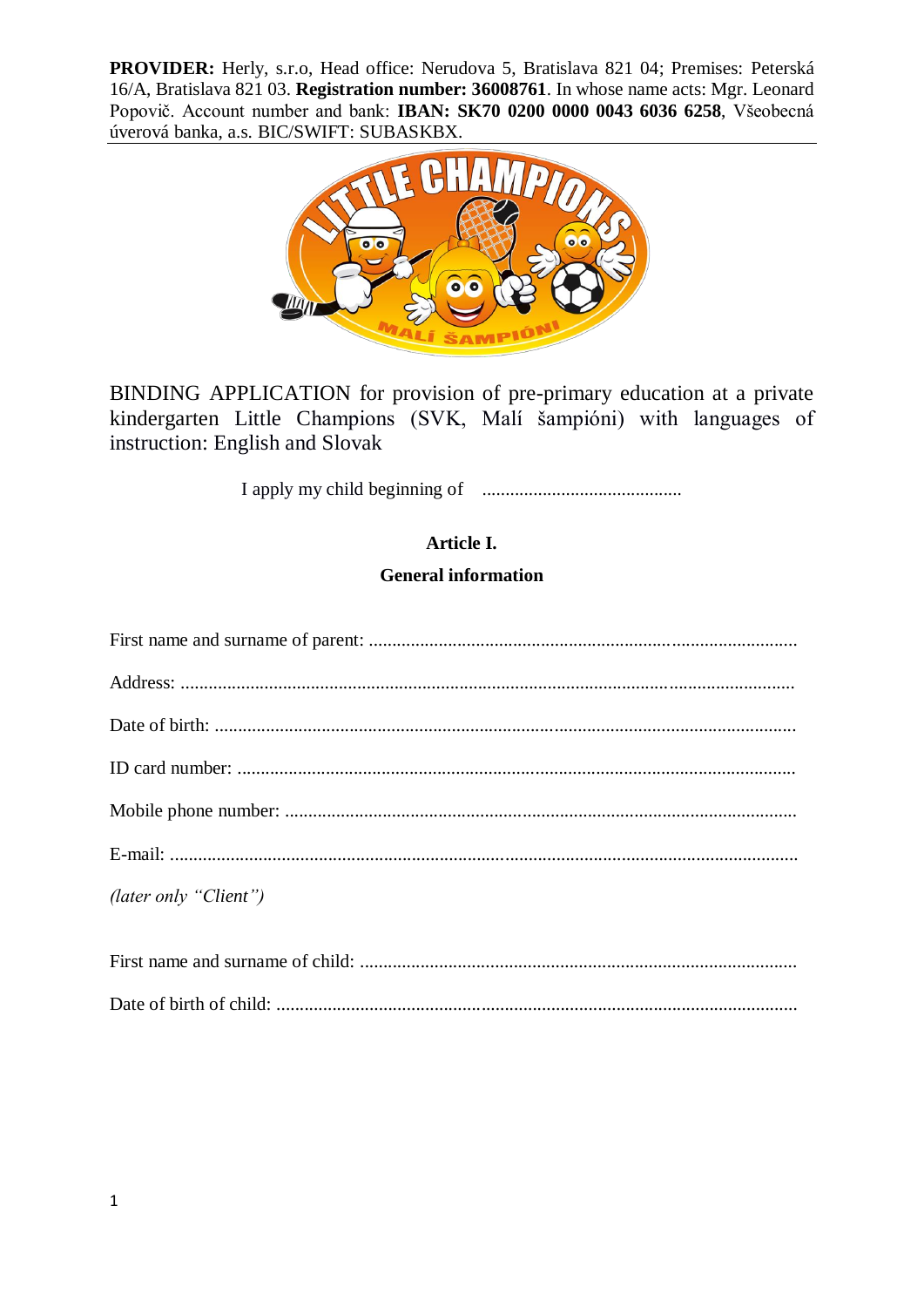**PROVIDER:** Herly, s.r.o, Head office: Nerudova 5, Bratislava 821 04; Premises: Peterská 16/A, Bratislava 821 03. **Registration number: 36008761**. In whose name acts: Mgr. Leonard Popovič. Account number and bank: **IBAN: SK70 0200 0000 0043 6036 6258**, Všeobecná úverová banka, a.s. BIC/SWIFT: SUBASKBX.



BINDING APPLICATION for provision of pre-primary education at a private kindergarten Little Champions (SVK, Malí šampióni) with languages of instruction: English and Slovak

I apply my child beginning of ...........................................

# **Article I.**

## **General information**

| (later only "Client")            |
|----------------------------------|
| First name and surname of child. |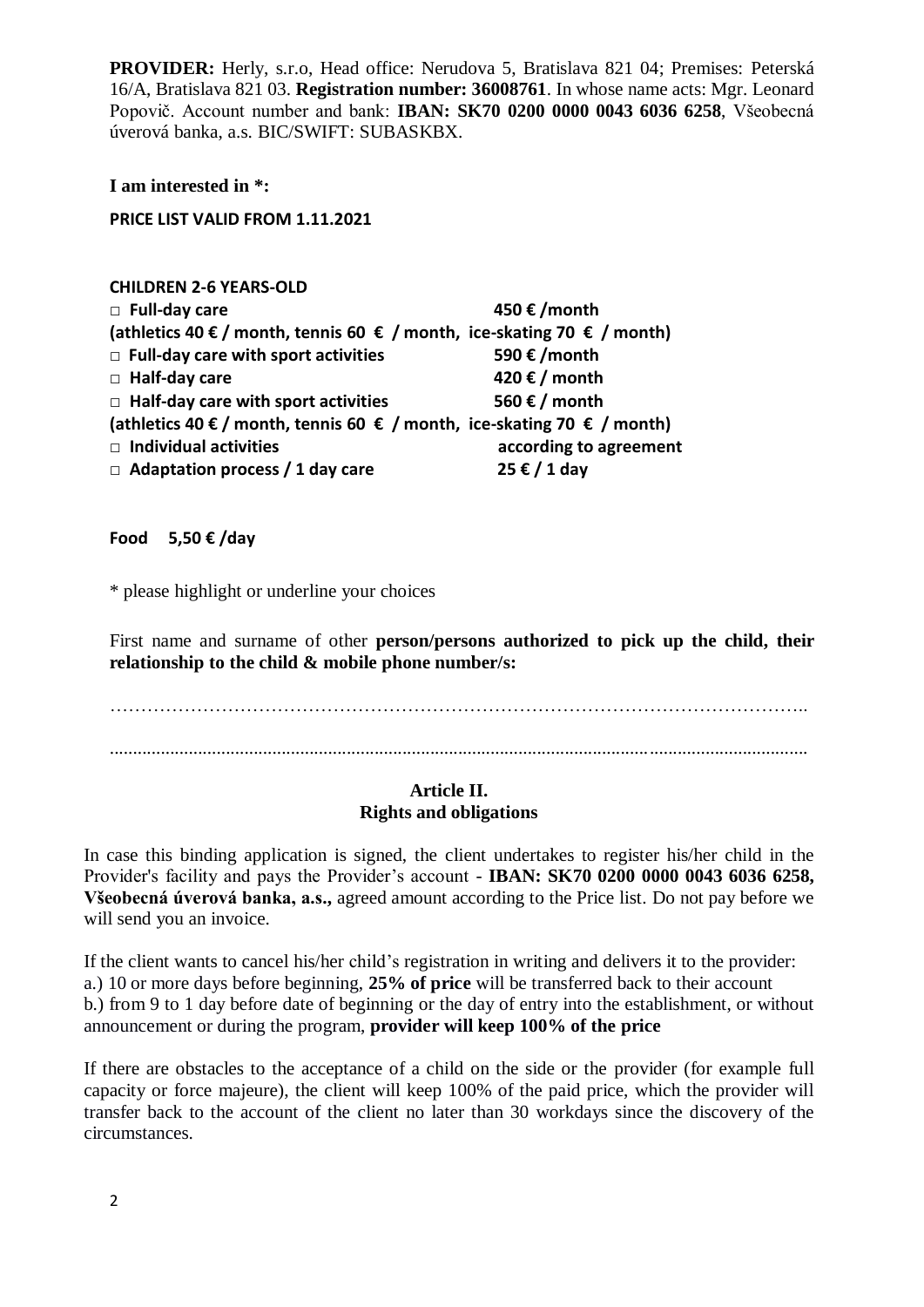**PROVIDER:** Herly, s.r.o, Head office: Nerudova 5, Bratislava 821 04; Premises: Peterská 16/A, Bratislava 821 03. **Registration number: 36008761**. In whose name acts: Mgr. Leonard Popovič. Account number and bank: **IBAN: SK70 0200 0000 0043 6036 6258**, Všeobecná úverová banka, a.s. BIC/SWIFT: SUBASKBX.

**I am interested in \*:** 

**PRICE LIST VALID FROM 1.11.2021**

#### **CHILDREN 2-6 YEARS-OLD**

| $\Box$ Full-day care                                                    | 450 €/month                         |
|-------------------------------------------------------------------------|-------------------------------------|
| (athletics 40 € / month, tennis 60 € / month, ice-skating 70 € / month) |                                     |
| $\Box$ Full-day care with sport activities                              | 590 € / month                       |
| $\Box$ Half-day care                                                    | 420 € / month                       |
| $\Box$ Half-day care with sport activities                              | 560 € / month                       |
| (athletics 40 € / month, tennis 60 € / month, ice-skating 70 € / month) |                                     |
| $\Box$ Individual activities                                            | according to agreement              |
| $\Box$ Adaptation process / 1 day care                                  | $25 \t\text{\textsterling} / 1$ day |
|                                                                         |                                     |

**Food 5,50 € /day**

\* please highlight or underline your choices

First name and surname of other **person/persons authorized to pick up the child, their relationship to the child & mobile phone number/s:**

………………………………………………………………………………………………….. ......................................................................................................................................................

### **Article II. Rights and obligations**

In case this binding application is signed, the client undertakes to register his/her child in the Provider's facility and pays the Provider's account - **IBAN: SK70 0200 0000 0043 6036 6258, Všeobecná úverová banka, a.s.,** agreed amount according to the Price list. Do not pay before we will send you an invoice.

If the client wants to cancel his/her child's registration in writing and delivers it to the provider: a.) 10 or more days before beginning, **25% of price** will be transferred back to their account b.) from 9 to 1 day before date of beginning or the day of entry into the establishment, or without announcement or during the program, **provider will keep 100% of the price**

If there are obstacles to the acceptance of a child on the side or the provider (for example full capacity or force majeure), the client will keep 100% of the paid price, which the provider will transfer back to the account of the client no later than 30 workdays since the discovery of the circumstances.